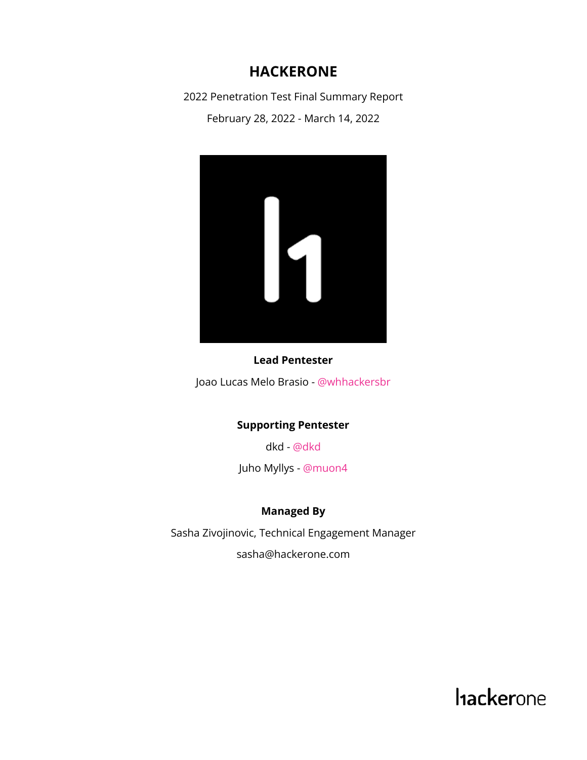#### **HACKERONE**

2022 Penetration Test Final Summary Report

February 28, 2022 - March 14, 2022



#### **Lead Pentester**

Joao Lucas Melo Brasio - [@whhackersbr](https://hackerone.com/whhackersbr)

#### **Supporting Pentester**

dkd - [@dkd](https://hackerone.com/dkd)

Juho Myllys - [@muon4](https://hackerone.com/muon4)

#### **Managed By**

Sasha Zivojinovic, Technical Engagement Manager sasha@hackerone.com

**hackerone**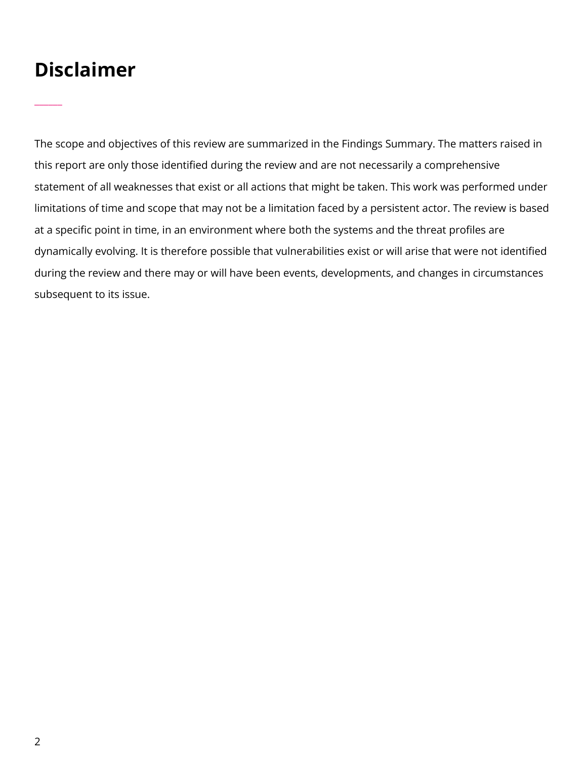# **Disclaimer**

 $\overline{\phantom{a}}$ 

The scope and objectives of this review are summarized in the Findings Summary. The matters raised in this report are only those identified during the review and are not necessarily a comprehensive statement of all weaknesses that exist or all actions that might be taken. This work was performed under limitations of time and scope that may not be a limitation faced by a persistent actor. The review is based at a specific point in time, in an environment where both the systems and the threat profiles are dynamically evolving. It is therefore possible that vulnerabilities exist or will arise that were not identified during the review and there may or will have been events, developments, and changes in circumstances subsequent to its issue.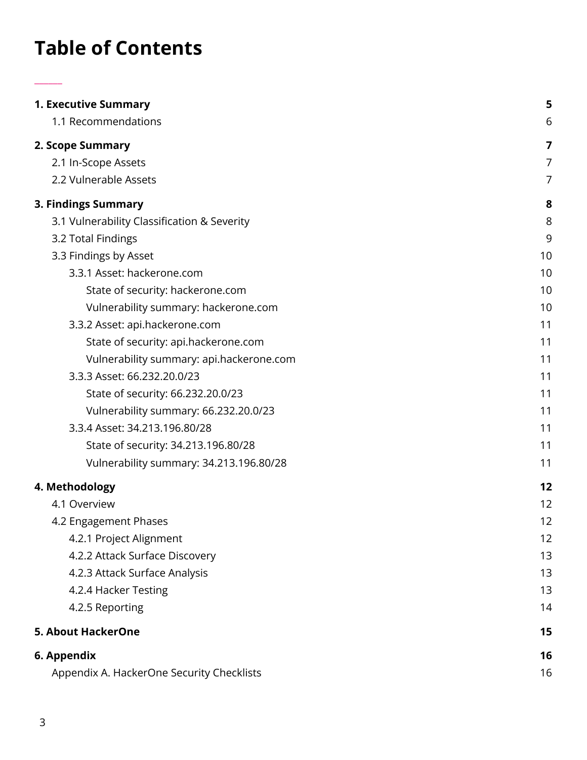# **Table of Contents**

 $\overline{\phantom{a}}$ 

| <b>1. Executive Summary</b>                 | 5              |
|---------------------------------------------|----------------|
| 1.1 Recommendations                         | 6              |
| 2. Scope Summary                            | 7              |
| 2.1 In-Scope Assets                         | $\overline{7}$ |
| 2.2 Vulnerable Assets                       | $\overline{7}$ |
| 3. Findings Summary                         | 8              |
| 3.1 Vulnerability Classification & Severity | 8              |
| 3.2 Total Findings                          | 9              |
| 3.3 Findings by Asset                       | 10             |
| 3.3.1 Asset: hackerone.com                  | 10             |
| State of security: hackerone.com            | 10             |
| Vulnerability summary: hackerone.com        | 10             |
| 3.3.2 Asset: api.hackerone.com              | 11             |
| State of security: api.hackerone.com        | 11             |
| Vulnerability summary: api.hackerone.com    | 11             |
| 3.3.3 Asset: 66.232.20.0/23                 | 11             |
| State of security: 66.232.20.0/23           | 11             |
| Vulnerability summary: 66.232.20.0/23       | 11             |
| 3.3.4 Asset: 34.213.196.80/28               | 11             |
| State of security: 34.213.196.80/28         | 11             |
| Vulnerability summary: 34.213.196.80/28     | 11             |
| 4. Methodology                              | 12             |
| 4.1 Overview                                | 12             |
| 4.2 Engagement Phases                       | 12             |
| 4.2.1 Project Alignment                     | 12             |
| 4.2.2 Attack Surface Discovery              | 13             |
| 4.2.3 Attack Surface Analysis               | 13             |
| 4.2.4 Hacker Testing                        | 13             |
| 4.2.5 Reporting                             | 14             |
| <b>5. About HackerOne</b>                   | 15             |
| 6. Appendix                                 | 16             |
| Appendix A. HackerOne Security Checklists   | 16             |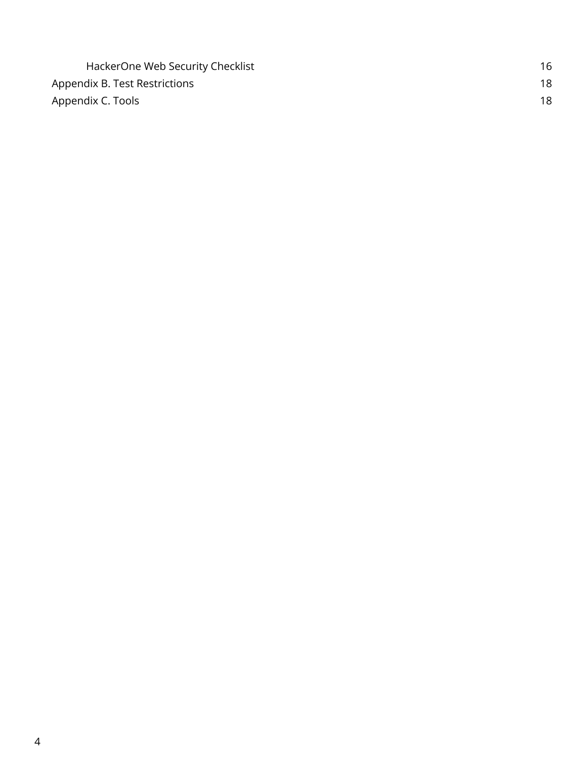| HackerOne Web Security Checklist | 16 |
|----------------------------------|----|
| Appendix B. Test Restrictions    | 18 |
| Appendix C. Tools                | 18 |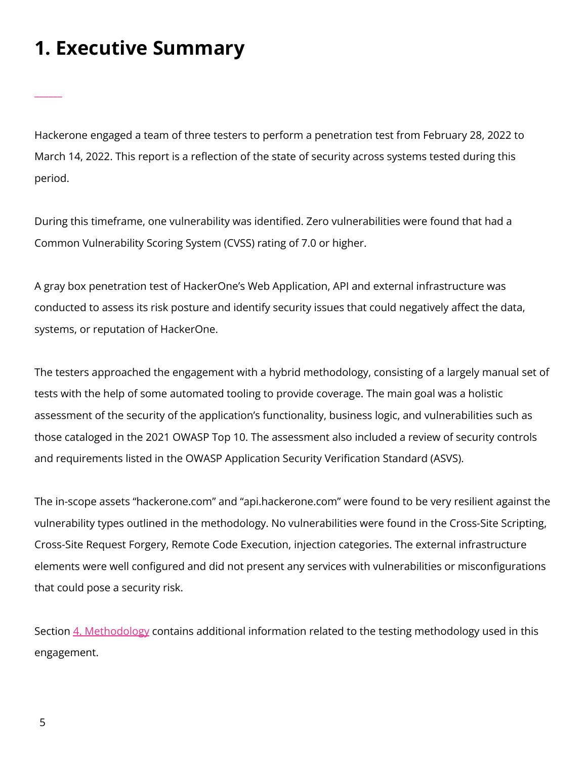# <span id="page-4-0"></span>**1. Executive Summary**

\_\_\_\_\_\_

Hackerone engaged a team of three testers to perform a penetration test from February 28, 2022 to March 14, 2022. This report is a reflection of the state of security across systems tested during this period.

During this timeframe, one vulnerability was identified. Zero vulnerabilities were found that had a Common Vulnerability Scoring System (CVSS) rating of 7.0 or higher.

A gray box penetration test of HackerOne's Web Application, API and external infrastructure was conducted to assess its risk posture and identify security issues that could negatively affect the data, systems, or reputation of HackerOne.

The testers approached the engagement with a hybrid methodology, consisting of a largely manual set of tests with the help of some automated tooling to provide coverage. The main goal was a holistic assessment of the security of the application's functionality, business logic, and vulnerabilities such as those cataloged in the 2021 OWASP Top 10. The assessment also included a review of security controls and requirements listed in the OWASP Application Security Verification Standard (ASVS).

The in-scope assets "hackerone.com" and "api.hackerone.com" were found to be very resilient against the vulnerability types outlined in the methodology. No vulnerabilities were found in the Cross-Site Scripting, Cross-Site Request Forgery, Remote Code Execution, injection categories. The external infrastructure elements were well configured and did not present any services with vulnerabilities or misconfigurations that could pose a security risk.

Section 4. [Methodology](#page-11-0) contains additional information related to the testing methodology used in this engagement.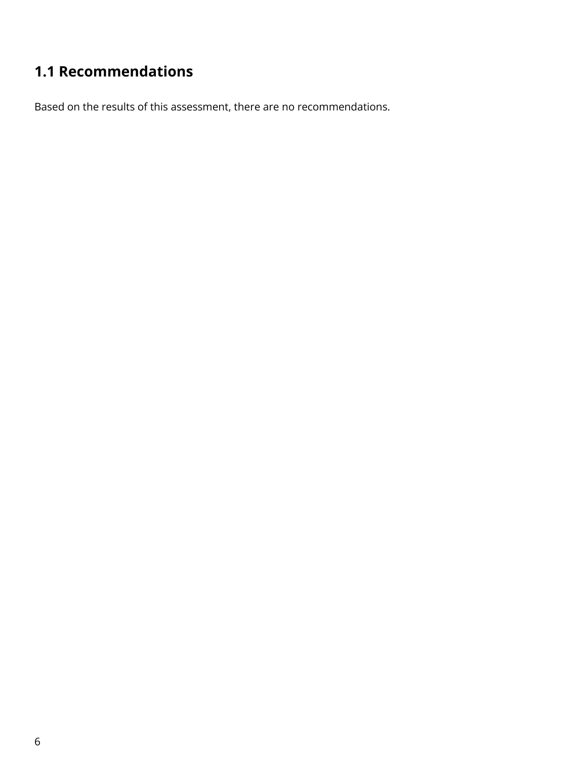## <span id="page-5-0"></span>**1.1 Recommendations**

Based on the results of this assessment, there are no recommendations.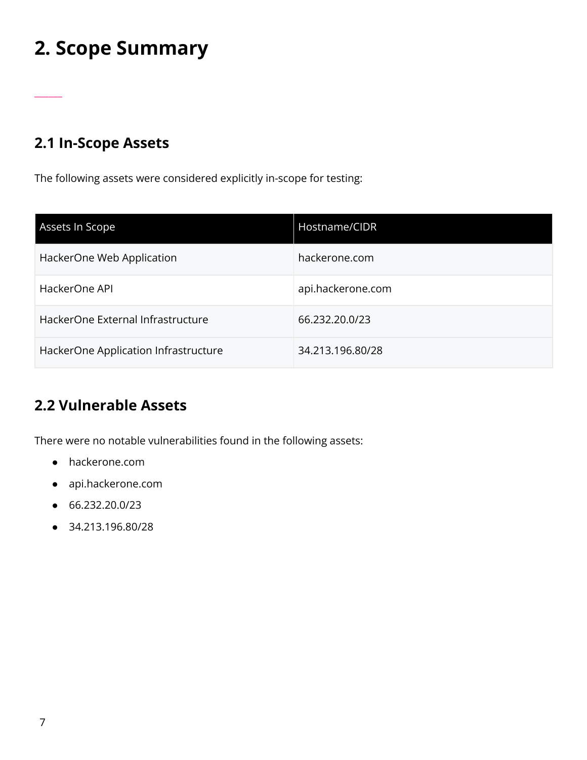# <span id="page-6-0"></span>**2. Scope Summary**

### <span id="page-6-1"></span>**2.1 In-Scope Assets**

\_\_\_\_\_\_

The following assets were considered explicitly in-scope for testing:

| Assets In Scope                      | Hostname/CIDR     |
|--------------------------------------|-------------------|
| HackerOne Web Application            | hackerone.com     |
| HackerOne API                        | api.hackerone.com |
| HackerOne External Infrastructure    | 66.232.20.0/23    |
| HackerOne Application Infrastructure | 34.213.196.80/28  |

### <span id="page-6-2"></span>**2.2 Vulnerable Assets**

There were no notable vulnerabilities found in the following assets:

- hackerone.com
- api.hackerone.com
- 66.232.20.0/23
- 34.213.196.80/28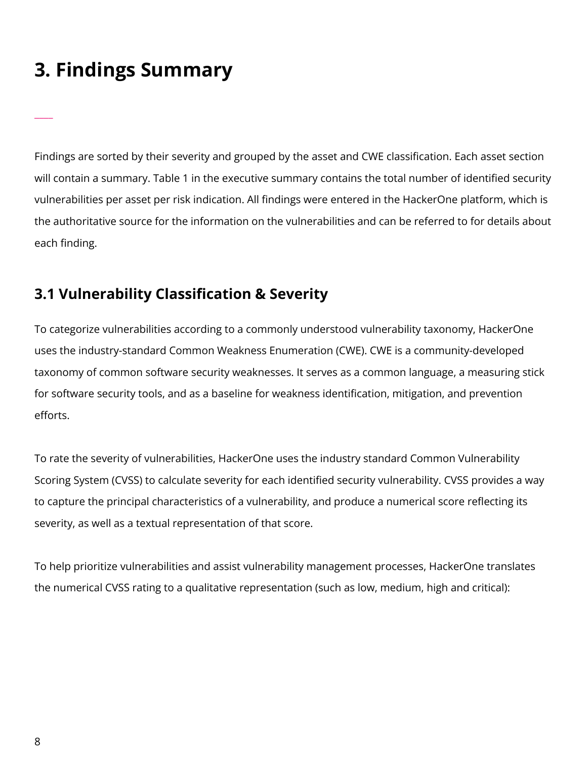# <span id="page-7-0"></span>**3. Findings Summary**

 $\overline{\phantom{a}}$ 

Findings are sorted by their severity and grouped by the asset and CWE classification. Each asset section will contain a summary. Table 1 in the executive summary contains the total number of identified security vulnerabilities per asset per risk indication. All findings were entered in the HackerOne platform, which is the authoritative source for the information on the vulnerabilities and can be referred to for details about each finding.

### <span id="page-7-1"></span>**3.1 Vulnerability Classification & Severity**

To categorize vulnerabilities according to a commonly understood vulnerability taxonomy, HackerOne uses the industry-standard Common Weakness Enumeration (CWE). CWE is a community-developed taxonomy of common software security weaknesses. It serves as a common language, a measuring stick for software security tools, and as a baseline for weakness identification, mitigation, and prevention efforts.

To rate the severity of vulnerabilities, HackerOne uses the industry standard Common Vulnerability Scoring System (CVSS) to calculate severity for each identified security vulnerability. CVSS provides a way to capture the principal characteristics of a vulnerability, and produce a numerical score reflecting its severity, as well as a textual representation of that score.

To help prioritize vulnerabilities and assist vulnerability management processes, HackerOne translates the numerical CVSS rating to a qualitative representation (such as low, medium, high and critical):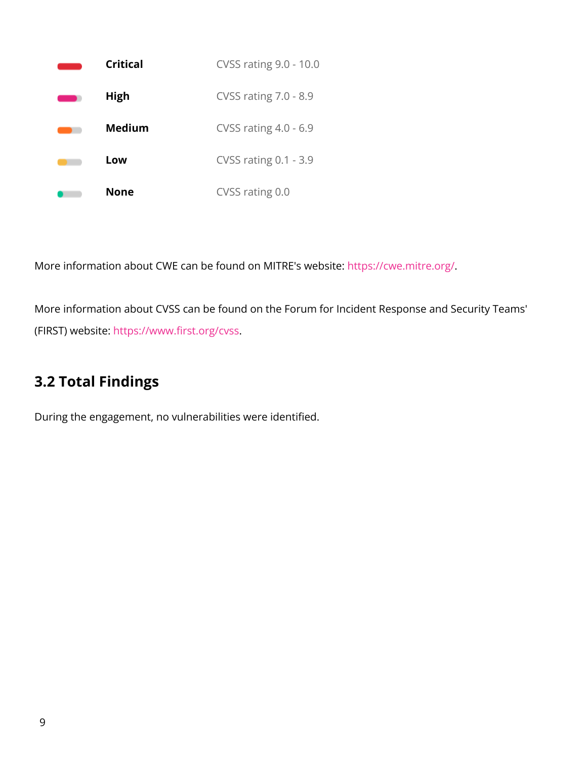

More information about CWE can be found on MITRE's website: <https://cwe.mitre.org/>.

More information about CVSS can be found on the Forum for Incident Response and Security Teams' (FIRST) website: <https://www.first.org/cvss>.

## <span id="page-8-0"></span>**3.2 Total Findings**

During the engagement, no vulnerabilities were identified.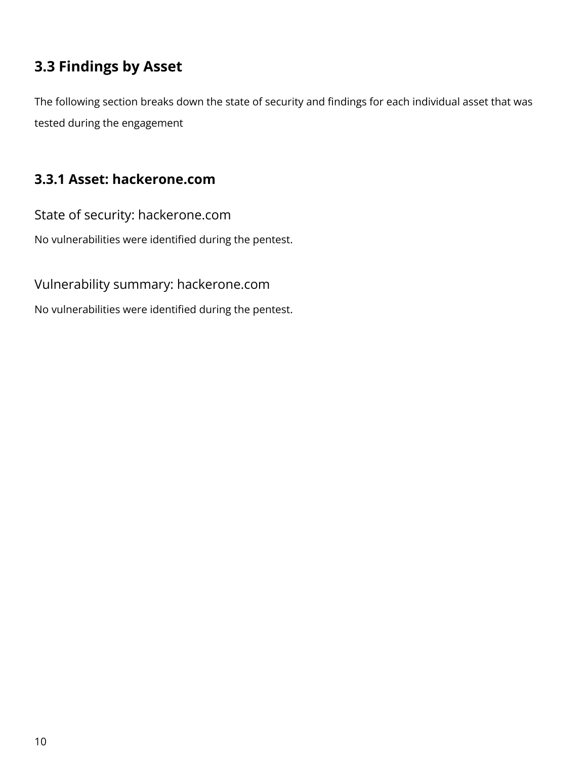### <span id="page-9-0"></span>**3.3 Findings by Asset**

The following section breaks down the state of security and findings for each individual asset that was tested during the engagement

### <span id="page-9-1"></span>**3.3.1 Asset: hackerone.com**

<span id="page-9-2"></span>State of security: hackerone.com

No vulnerabilities were identified during the pentest.

<span id="page-9-3"></span>Vulnerability summary: hackerone.com

No vulnerabilities were identified during the pentest.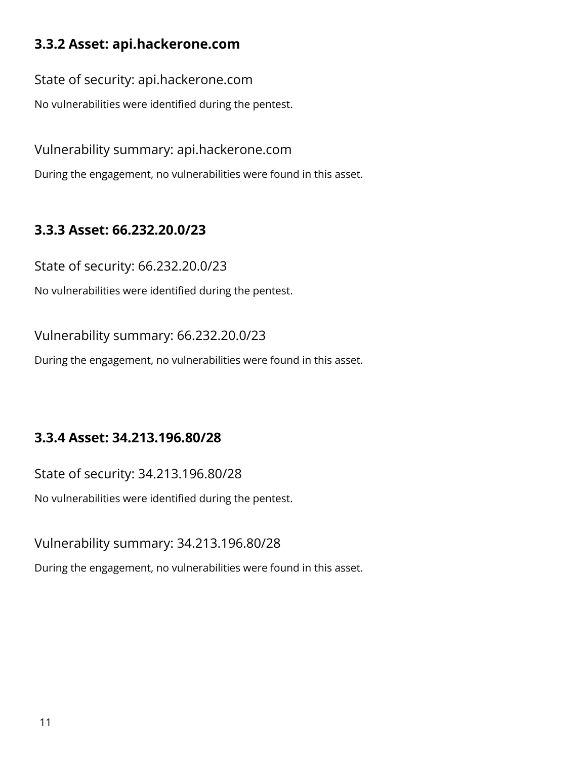### <span id="page-10-0"></span>**3.3.2 Asset: api.hackerone.com**

<span id="page-10-1"></span>State of security: api.hackerone.com

No vulnerabilities were identified during the pentest.

<span id="page-10-2"></span>Vulnerability summary: api.hackerone.com

During the engagement, no vulnerabilities were found in this asset.

### <span id="page-10-3"></span>**3.3.3 Asset: 66.232.20.0/23**

<span id="page-10-4"></span>State of security: 66.232.20.0/23

No vulnerabilities were identified during the pentest.

<span id="page-10-5"></span>Vulnerability summary: 66.232.20.0/23

During the engagement, no vulnerabilities were found in this asset.

### <span id="page-10-6"></span>**3.3.4 Asset: 34.213.196.80/28**

<span id="page-10-7"></span>State of security: 34.213.196.80/28

No vulnerabilities were identified during the pentest.

<span id="page-10-8"></span>Vulnerability summary: 34.213.196.80/28

During the engagement, no vulnerabilities were found in this asset.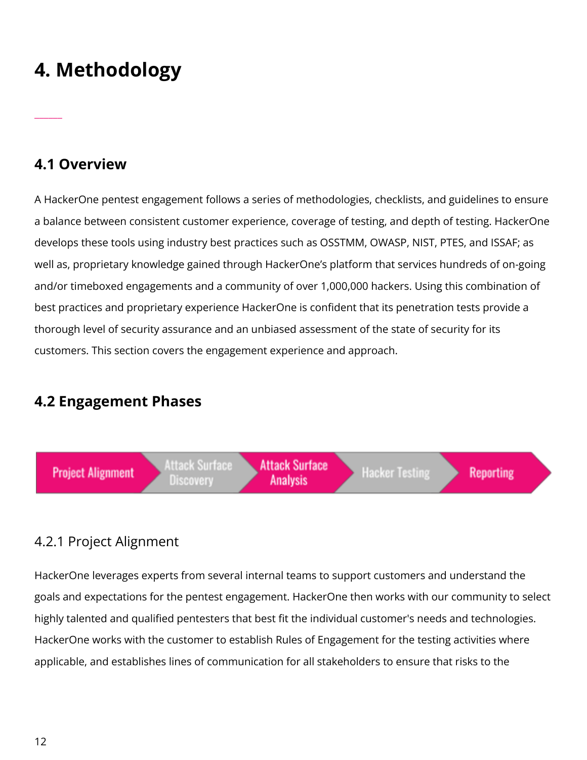# <span id="page-11-0"></span>**4. Methodology**

#### <span id="page-11-1"></span>**4.1 Overview**

\_\_\_\_\_\_

A HackerOne pentest engagement follows a series of methodologies, checklists, and guidelines to ensure a balance between consistent customer experience, coverage of testing, and depth of testing. HackerOne develops these tools using industry best practices such as OSSTMM, OWASP, NIST, PTES, and ISSAF; as well as, proprietary knowledge gained through HackerOne's platform that services hundreds of on-going and/or timeboxed engagements and a community of over 1,000,000 hackers. Using this combination of best practices and proprietary experience HackerOne is confident that its penetration tests provide a thorough level of security assurance and an unbiased assessment of the state of security for its customers. This section covers the engagement experience and approach.

#### <span id="page-11-2"></span>**4.2 Engagement Phases**



#### <span id="page-11-3"></span>4.2.1 Project Alignment

HackerOne leverages experts from several internal teams to support customers and understand the goals and expectations for the pentest engagement. HackerOne then works with our community to select highly talented and qualified pentesters that best fit the individual customer's needs and technologies. HackerOne works with the customer to establish Rules of Engagement for the testing activities where applicable, and establishes lines of communication for all stakeholders to ensure that risks to the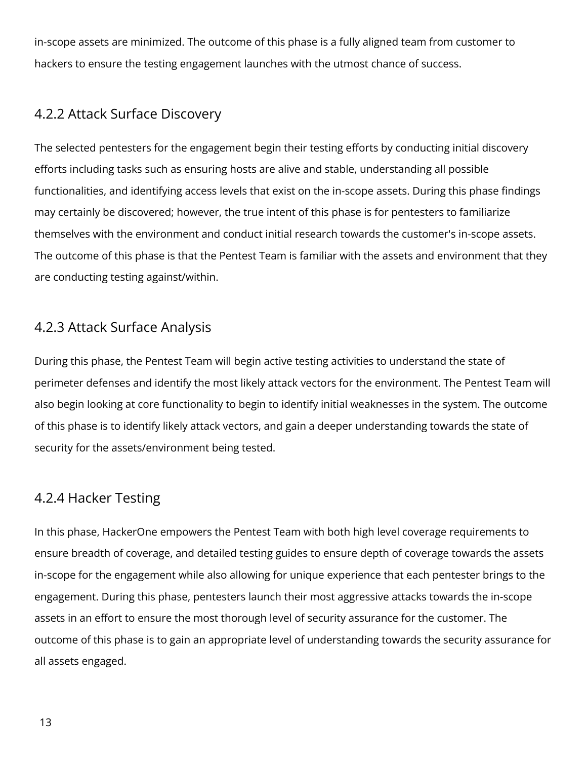in-scope assets are minimized. The outcome of this phase is a fully aligned team from customer to hackers to ensure the testing engagement launches with the utmost chance of success.

#### <span id="page-12-0"></span>4.2.2 Attack Surface Discovery

The selected pentesters for the engagement begin their testing efforts by conducting initial discovery efforts including tasks such as ensuring hosts are alive and stable, understanding all possible functionalities, and identifying access levels that exist on the in-scope assets. During this phase findings may certainly be discovered; however, the true intent of this phase is for pentesters to familiarize themselves with the environment and conduct initial research towards the customer's in-scope assets. The outcome of this phase is that the Pentest Team is familiar with the assets and environment that they are conducting testing against/within.

#### <span id="page-12-1"></span>4.2.3 Attack Surface Analysis

During this phase, the Pentest Team will begin active testing activities to understand the state of perimeter defenses and identify the most likely attack vectors for the environment. The Pentest Team will also begin looking at core functionality to begin to identify initial weaknesses in the system. The outcome of this phase is to identify likely attack vectors, and gain a deeper understanding towards the state of security for the assets/environment being tested.

#### <span id="page-12-2"></span>4.2.4 Hacker Testing

In this phase, HackerOne empowers the Pentest Team with both high level coverage requirements to ensure breadth of coverage, and detailed testing guides to ensure depth of coverage towards the assets in-scope for the engagement while also allowing for unique experience that each pentester brings to the engagement. During this phase, pentesters launch their most aggressive attacks towards the in-scope assets in an effort to ensure the most thorough level of security assurance for the customer. The outcome of this phase is to gain an appropriate level of understanding towards the security assurance for all assets engaged.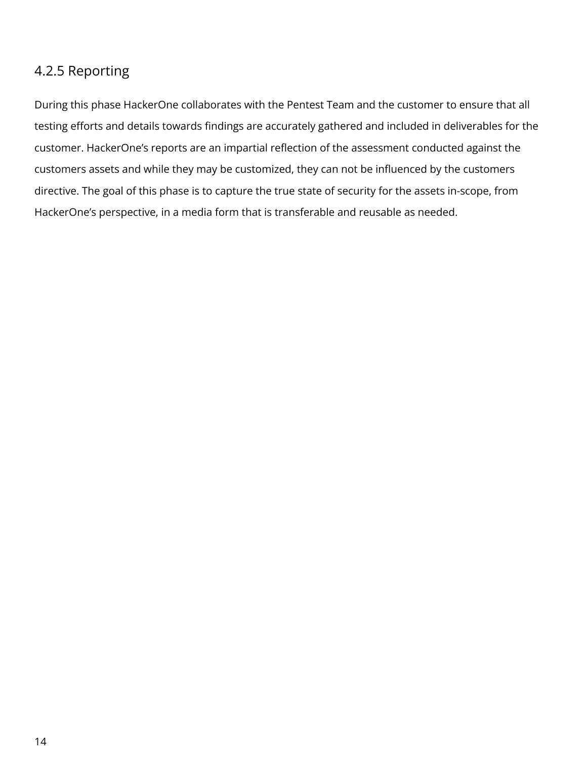#### <span id="page-13-0"></span>4.2.5 Reporting

During this phase HackerOne collaborates with the Pentest Team and the customer to ensure that all testing efforts and details towards findings are accurately gathered and included in deliverables for the customer. HackerOne's reports are an impartial reflection of the assessment conducted against the customers assets and while they may be customized, they can not be influenced by the customers directive. The goal of this phase is to capture the true state of security for the assets in-scope, from HackerOne's perspective, in a media form that is transferable and reusable as needed.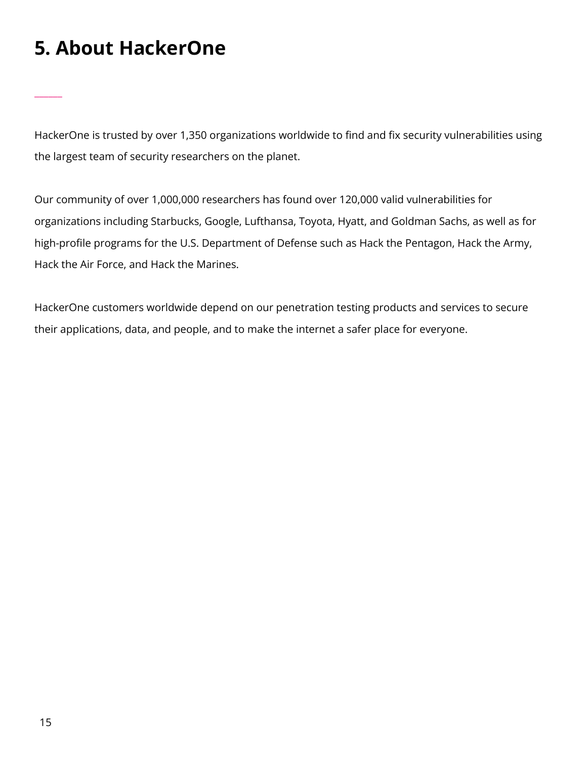# <span id="page-14-0"></span>**5. About HackerOne**

\_\_\_\_\_\_

HackerOne is trusted by over 1,350 organizations worldwide to find and fix security vulnerabilities using the largest team of security researchers on the planet.

Our community of over 1,000,000 researchers has found over 120,000 valid vulnerabilities for organizations including Starbucks, Google, Lufthansa, Toyota, Hyatt, and Goldman Sachs, as well as for high-profile programs for the U.S. Department of Defense such as Hack the Pentagon, Hack the Army, Hack the Air Force, and Hack the Marines.

HackerOne customers worldwide depend on our penetration testing products and services to secure their applications, data, and people, and to make the internet a safer place for everyone.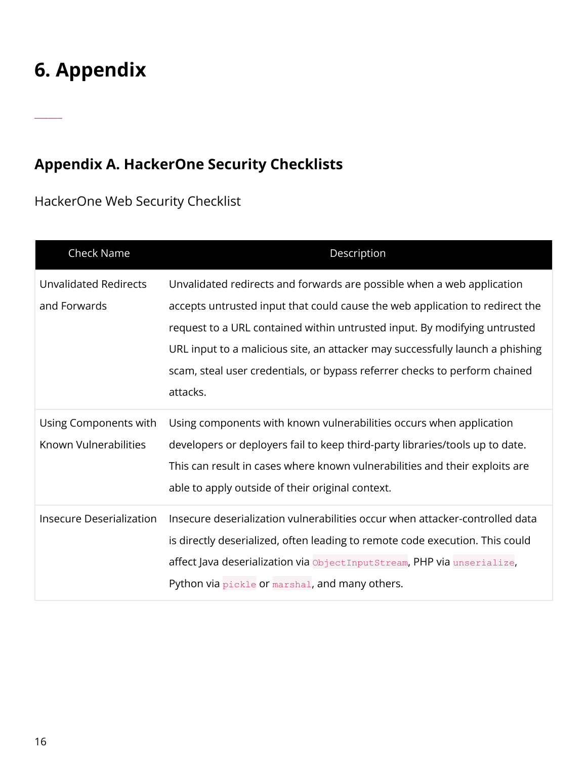# <span id="page-15-0"></span>**6. Appendix**

\_\_\_\_\_\_

## <span id="page-15-1"></span>**Appendix A. HackerOne Security Checklists**

<span id="page-15-2"></span>HackerOne Web Security Checklist

| Check Name                                     | Description                                                                                                                                                                                                                                                                                                                                                                                                    |
|------------------------------------------------|----------------------------------------------------------------------------------------------------------------------------------------------------------------------------------------------------------------------------------------------------------------------------------------------------------------------------------------------------------------------------------------------------------------|
| <b>Unvalidated Redirects</b><br>and Forwards   | Unvalidated redirects and forwards are possible when a web application<br>accepts untrusted input that could cause the web application to redirect the<br>request to a URL contained within untrusted input. By modifying untrusted<br>URL input to a malicious site, an attacker may successfully launch a phishing<br>scam, steal user credentials, or bypass referrer checks to perform chained<br>attacks. |
| Using Components with<br>Known Vulnerabilities | Using components with known vulnerabilities occurs when application<br>developers or deployers fail to keep third-party libraries/tools up to date.<br>This can result in cases where known vulnerabilities and their exploits are<br>able to apply outside of their original context.                                                                                                                         |
| <b>Insecure Deserialization</b>                | Insecure deserialization vulnerabilities occur when attacker-controlled data<br>is directly deserialized, often leading to remote code execution. This could<br>affect Java deserialization via ObjectInputStream, PHP via unserialize,<br>Python via pickle or marshal, and many others.                                                                                                                      |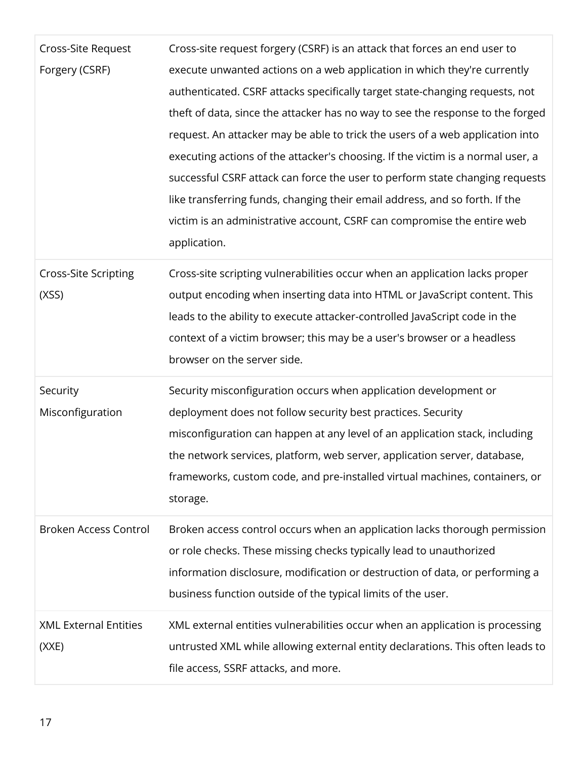| Cross-Site Request<br>Forgery (CSRF)  | Cross-site request forgery (CSRF) is an attack that forces an end user to<br>execute unwanted actions on a web application in which they're currently<br>authenticated. CSRF attacks specifically target state-changing requests, not<br>theft of data, since the attacker has no way to see the response to the forged<br>request. An attacker may be able to trick the users of a web application into<br>executing actions of the attacker's choosing. If the victim is a normal user, a<br>successful CSRF attack can force the user to perform state changing requests<br>like transferring funds, changing their email address, and so forth. If the |
|---------------------------------------|------------------------------------------------------------------------------------------------------------------------------------------------------------------------------------------------------------------------------------------------------------------------------------------------------------------------------------------------------------------------------------------------------------------------------------------------------------------------------------------------------------------------------------------------------------------------------------------------------------------------------------------------------------|
|                                       | victim is an administrative account, CSRF can compromise the entire web<br>application.                                                                                                                                                                                                                                                                                                                                                                                                                                                                                                                                                                    |
| <b>Cross-Site Scripting</b><br>(XSS)  | Cross-site scripting vulnerabilities occur when an application lacks proper<br>output encoding when inserting data into HTML or JavaScript content. This<br>leads to the ability to execute attacker-controlled JavaScript code in the<br>context of a victim browser; this may be a user's browser or a headless<br>browser on the server side.                                                                                                                                                                                                                                                                                                           |
| Security<br>Misconfiguration          | Security misconfiguration occurs when application development or<br>deployment does not follow security best practices. Security<br>misconfiguration can happen at any level of an application stack, including<br>the network services, platform, web server, application server, database,<br>frameworks, custom code, and pre-installed virtual machines, containers, or<br>storage.                                                                                                                                                                                                                                                                    |
| <b>Broken Access Control</b>          | Broken access control occurs when an application lacks thorough permission<br>or role checks. These missing checks typically lead to unauthorized<br>information disclosure, modification or destruction of data, or performing a<br>business function outside of the typical limits of the user.                                                                                                                                                                                                                                                                                                                                                          |
| <b>XML External Entities</b><br>(XXE) | XML external entities vulnerabilities occur when an application is processing<br>untrusted XML while allowing external entity declarations. This often leads to<br>file access, SSRF attacks, and more.                                                                                                                                                                                                                                                                                                                                                                                                                                                    |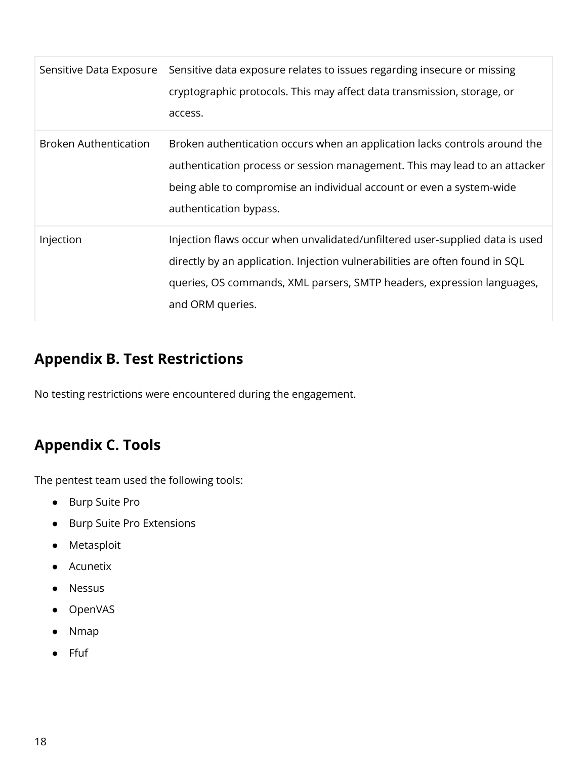| Sensitive Data Exposure      | Sensitive data exposure relates to issues regarding insecure or missing<br>cryptographic protocols. This may affect data transmission, storage, or<br>access.                                                                                              |
|------------------------------|------------------------------------------------------------------------------------------------------------------------------------------------------------------------------------------------------------------------------------------------------------|
| <b>Broken Authentication</b> | Broken authentication occurs when an application lacks controls around the<br>authentication process or session management. This may lead to an attacker<br>being able to compromise an individual account or even a system-wide<br>authentication bypass. |
| Injection                    | Injection flaws occur when unvalidated/unfiltered user-supplied data is used<br>directly by an application. Injection vulnerabilities are often found in SQL<br>queries, OS commands, XML parsers, SMTP headers, expression languages,<br>and ORM queries. |

## <span id="page-17-0"></span>**Appendix B. Test Restrictions**

No testing restrictions were encountered during the engagement.

### <span id="page-17-1"></span>**Appendix C. Tools**

The pentest team used the following tools:

- Burp Suite Pro
- Burp Suite Pro Extensions
- Metasploit
- Acunetix
- Nessus
- OpenVAS
- **Nmap**
- Ffuf